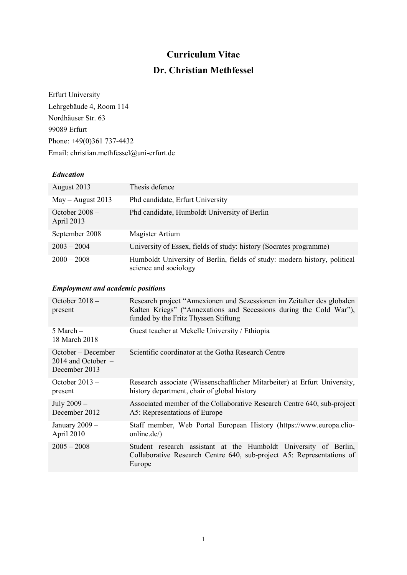# **Curriculum Vitae Dr. Christian Methfessel**

Erfurt University Lehrgebäude 4, Room 114 Nordhäuser Str. 63 99089 Erfurt Phone: +49(0)361 737-4432 Email: christian.methfessel@uni-erfurt.de

## *Education*

| August 2013                    | Thesis defence                                                                                     |
|--------------------------------|----------------------------------------------------------------------------------------------------|
| $May - August 2013$            | Phd candidate, Erfurt University                                                                   |
| October $2008 -$<br>April 2013 | Phd candidate, Humboldt University of Berlin                                                       |
| September 2008                 | Magister Artium                                                                                    |
| $2003 - 2004$                  | University of Essex, fields of study: history (Socrates programme)                                 |
| $2000 - 2008$                  | Humboldt University of Berlin, fields of study: modern history, political<br>science and sociology |

## *Employment and academic positions*

| October $2018 -$<br>present                                   | Research project "Annexionen und Sezessionen im Zeitalter des globalen<br>Kalten Kriegs" ("Annexations and Secessions during the Cold War"),<br>funded by the Fritz Thyssen Stiftung |
|---------------------------------------------------------------|--------------------------------------------------------------------------------------------------------------------------------------------------------------------------------------|
| $5$ March $-$<br>18 March 2018                                | Guest teacher at Mekelle University / Ethiopia                                                                                                                                       |
| October – December<br>$2014$ and October $-$<br>December 2013 | Scientific coordinator at the Gotha Research Centre                                                                                                                                  |
| October $2013 -$<br>present                                   | Research associate (Wissenschaftlicher Mitarbeiter) at Erfurt University,<br>history department, chair of global history                                                             |
| July $2009 -$<br>December 2012                                | Associated member of the Collaborative Research Centre 640, sub-project<br>A5: Representations of Europe                                                                             |
| January $2009 -$<br>April 2010                                | Staff member, Web Portal European History (https://www.europa.clio-<br>online.de/)                                                                                                   |
| $2005 - 2008$                                                 | Student research assistant at the Humboldt University of Berlin,<br>Collaborative Research Centre 640, sub-project A5: Representations of<br>Europe                                  |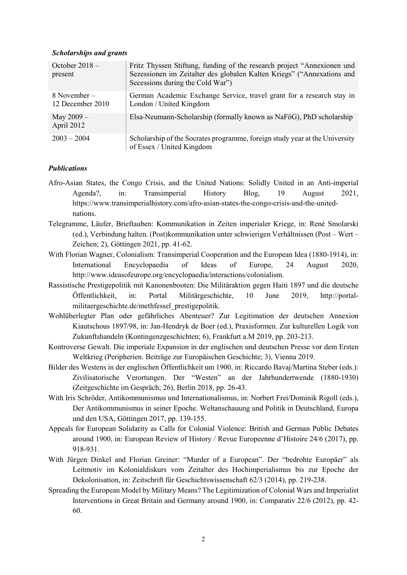### *Scholarships and grants*

| October $2018-$<br>present       | Fritz Thyssen Stiftung, funding of the research project "Annexionen und<br>Sezessionen im Zeitalter des globalen Kalten Kriegs" ("Annexations and<br>Secessions during the Cold War") |
|----------------------------------|---------------------------------------------------------------------------------------------------------------------------------------------------------------------------------------|
| 8 November –<br>12 December 2010 | German Academic Exchange Service, travel grant for a research stay in<br>London / United Kingdom                                                                                      |
| May $2009 -$<br>April 2012       | Elsa-Neumann-Scholarship (formally known as NaFöG), PhD scholarship                                                                                                                   |
| $2003 - 2004$                    | Scholarship of the Socrates programme, foreign study year at the University<br>of Essex / United Kingdom                                                                              |

### *Publications*

- Afro-Asian States, the Congo Crisis, and the United Nations: Solidly United in an Anti-imperial Agenda?, in: Transimperial History Blog, 19 August 2021, https://www.transimperialhistory.com/afro-asian-states-the-congo-crisis-and-the-unitednations.
- Telegramme, Läufer, Brieftauben: Kommunikation in Zeiten imperialer Kriege, in: René Smolarski (ed.), Verbindung halten. (Post)kommunikation unter schwierigen Verhältnissen (Post – Wert – Zeichen; 2), Göttingen 2021, pp. 41-62.
- With Florian Wagner, Colonialism: Transimperial Cooperation and the European Idea (1880-1914), in: International Encyclopaedia of Ideas of Europe, 24 August 2020, http://www.ideasofeurope.org/encyclopaedia/interactions/colonialism.
- Rassistische Prestigepolitik mit Kanonenbooten: Die Militäraktion gegen Haiti 1897 und die deutsche Öffentlichkeit, in: Portal Militärgeschichte, 10 June 2019, http://portalmilitaergeschichte.de/methfessel\_prestigepolitik.
- Wohlüberlegter Plan oder gefährliches Abenteuer? Zur Legitimation der deutschen Annexion Kiautschous 1897/98, in: Jan-Hendryk de Boer (ed.), Praxisformen. Zur kulturellen Logik von Zukunftshandeln (Kontingenzgeschichten; 6), Frankfurt a.M 2019, pp. 203-213.
- Kontroverse Gewalt. Die imperiale Expansion in der englischen und deutschen Presse vor dem Ersten Weltkrieg (Peripherien. Beiträge zur Europäischen Geschichte; 3), Vienna 2019.
- Bilder des Westens in der englischen Öffentlichkeit um 1900, in: Riccardo Bavaj/Martina Steber (eds.): Zivilisatorische Verortungen. Der "Westen" an der Jahrhundertwende (1880-1930) (Zeitgeschichte im Gespräch; 26), Berlin 2018, pp. 26-43.
- With Iris Schröder, Antikommunismus und Internationalismus, in: Norbert Frei/Dominik Rigoll (eds.), Der Antikommunismus in seiner Epoche. Weltanschauung und Politik in Deutschland, Europa und den USA, Göttingen 2017, pp. 139-155.
- Appeals for European Solidarity as Calls for Colonial Violence: British and German Public Debates around 1900, in: European Review of History / Revue Europeenne d'Histoire 24/6 (2017), pp. 918-931.
- With Jürgen Dinkel and Florian Greiner: "Murder of a European". Der "bedrohte Europäer" als Leitmotiv im Kolonialdiskurs vom Zeitalter des Hochimperialismus bis zur Epoche der Dekolonisation, in: Zeitschrift für Geschichtswissenschaft 62/3 (2014), pp. 219-238.
- Spreading the European Model by Military Means? The Legitimization of Colonial Wars and Imperialist Interventions in Great Britain and Germany around 1900, in: Comparativ 22/6 (2012), pp. 42- 60.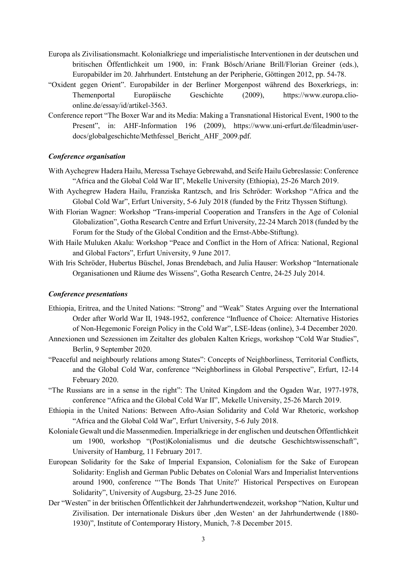- Europa als Zivilisationsmacht. Kolonialkriege und imperialistische Interventionen in der deutschen und britischen Öffentlichkeit um 1900, in: Frank Bösch/Ariane Brill/Florian Greiner (eds.), Europabilder im 20. Jahrhundert. Entstehung an der Peripherie, Göttingen 2012, pp. 54-78.
- "Oxident gegen Orient". Europabilder in der Berliner Morgenpost während des Boxerkriegs, in: Themenportal Europäische Geschichte (2009), https://www.europa.clioonline.de/essay/id/artikel-3563.
- Conference report "The Boxer War and its Media: Making a Transnational Historical Event, 1900 to the Present", in: AHF-Information 196 (2009), https://www.uni-erfurt.de/fileadmin/userdocs/globalgeschichte/Methfessel\_Bericht\_AHF\_2009.pdf.

#### *Conference organisation*

- With Aychegrew Hadera Hailu, Meressa Tsehaye Gebrewahd, and Seife Hailu Gebreslassie: Conference "Africa and the Global Cold War II", Mekelle University (Ethiopia), 25-26 March 2019.
- With Aychegrew Hadera Hailu, Franziska Rantzsch, and Iris Schröder: Workshop "Africa and the Global Cold War", Erfurt University, 5-6 July 2018 (funded by the Fritz Thyssen Stiftung).
- With Florian Wagner: Workshop "Trans-imperial Cooperation and Transfers in the Age of Colonial Globalization", Gotha Research Centre and Erfurt University, 22-24 March 2018 (funded by the Forum for the Study of the Global Condition and the Ernst-Abbe-Stiftung).
- With Haile Muluken Akalu: Workshop "Peace and Conflict in the Horn of Africa: National, Regional and Global Factors", Erfurt University, 9 June 2017.
- With Iris Schröder, Hubertus Büschel, Jonas Brendebach, and Julia Hauser: Workshop "Internationale Organisationen und Räume des Wissens", Gotha Research Centre, 24-25 July 2014.

#### *Conference presentations*

- Ethiopia, Eritrea, and the United Nations: "Strong" and "Weak" States Arguing over the International Order after World War II, 1948-1952, conference "Influence of Choice: Alternative Histories of Non-Hegemonic Foreign Policy in the Cold War", LSE-Ideas (online), 3-4 December 2020.
- Annexionen und Sezessionen im Zeitalter des globalen Kalten Kriegs, workshop "Cold War Studies", Berlin, 9 September 2020.
- "Peaceful and neighbourly relations among States": Concepts of Neighborliness, Territorial Conflicts, and the Global Cold War, conference "Neighborliness in Global Perspective", Erfurt, 12-14 February 2020.
- "The Russians are in a sense in the right": The United Kingdom and the Ogaden War, 1977-1978, conference "Africa and the Global Cold War II", Mekelle University, 25-26 March 2019.
- Ethiopia in the United Nations: Between Afro-Asian Solidarity and Cold War Rhetoric, workshop "Africa and the Global Cold War", Erfurt University, 5-6 July 2018.
- Koloniale Gewalt und die Massenmedien. Imperialkriege in der englischen und deutschen Öffentlichkeit um 1900, workshop "(Post)Kolonialismus und die deutsche Geschichtswissenschaft", University of Hamburg, 11 February 2017.
- European Solidarity for the Sake of Imperial Expansion, Colonialism for the Sake of European Solidarity: English and German Public Debates on Colonial Wars and Imperialist Interventions around 1900, conference "'The Bonds That Unite?' Historical Perspectives on European Solidarity", University of Augsburg, 23-25 June 2016.
- Der "Westen" in der britischen Öffentlichkeit der Jahrhundertwendezeit, workshop "Nation, Kultur und Zivilisation. Der internationale Diskurs über ,den Westen' an der Jahrhundertwende (1880-1930)", Institute of Contemporary History, Munich, 7-8 December 2015.